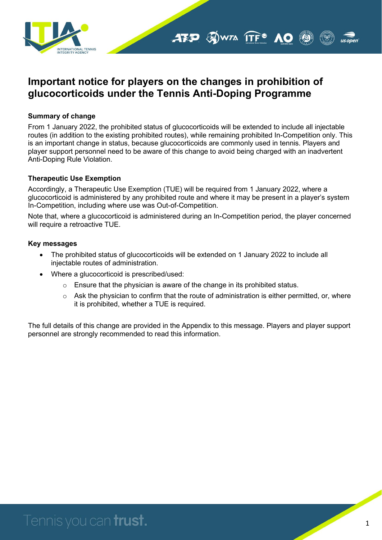

### **Important notice for players on the changes in prohibition of glucocorticoids under the Tennis Anti-Doping Programme**

#### **Summary of change**

From 1 January 2022, the prohibited status of glucocorticoids will be extended to include all injectable routes (in addition to the existing prohibited routes), while remaining prohibited In-Competition only. This is an important change in status, because glucocorticoids are commonly used in tennis. Players and player support personnel need to be aware of this change to avoid being charged with an inadvertent Anti-Doping Rule Violation.

#### **Therapeutic Use Exemption**

Accordingly, a Therapeutic Use Exemption (TUE) will be required from 1 January 2022, where a glucocorticoid is administered by any prohibited route and where it may be present in a player's system In-Competition, including where use was Out-of-Competition.

Note that, where a glucocorticoid is administered during an In-Competition period, the player concerned will require a retroactive TUE.

#### **Key messages**

- The prohibited status of glucocorticoids will be extended on 1 January 2022 to include all injectable routes of administration.
- Where a glucocorticoid is prescribed/used:
	- $\circ$  Ensure that the physician is aware of the change in its prohibited status.
	- $\circ$  Ask the physician to confirm that the route of administration is either permitted, or, where it is prohibited, whether a TUE is required.

The full details of this change are provided in the Appendix to this message. Players and player support personnel are strongly recommended to read this information.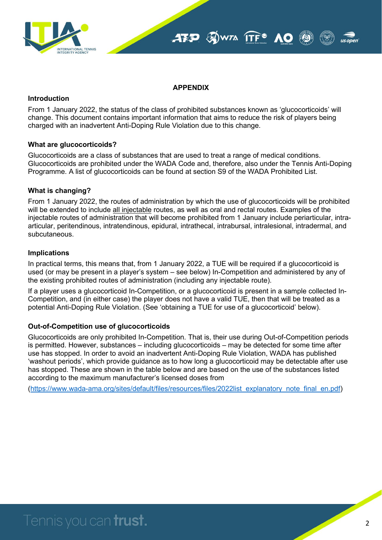



#### **APPENDIX**

#### **Introduction**

From 1 January 2022, the status of the class of prohibited substances known as 'glucocorticoids' will change. This document contains important information that aims to reduce the risk of players being charged with an inadvertent Anti-Doping Rule Violation due to this change.

#### **What are glucocorticoids?**

Glucocorticoids are a class of substances that are used to treat a range of medical conditions. Glucocorticoids are prohibited under the WADA Code and, therefore, also under the Tennis Anti-Doping Programme. A list of glucocorticoids can be found at section S9 of the WADA Prohibited List.

#### **What is changing?**

From 1 January 2022, the routes of administration by which the use of glucocorticoids will be prohibited will be extended to include all injectable routes, as well as oral and rectal routes. Examples of the injectable routes of administration that will become prohibited from 1 January include periarticular, intraarticular, peritendinous, intratendinous, epidural, intrathecal, intrabursal, intralesional, intradermal, and subcutaneous.

#### **Implications**

In practical terms, this means that, from 1 January 2022, a TUE will be required if a glucocorticoid is used (or may be present in a player's system – see below) In-Competition and administered by any of the existing prohibited routes of administration (including any injectable route).

If a player uses a glucocorticoid In-Competition, or a glucocorticoid is present in a sample collected In-Competition, and (in either case) the player does not have a valid TUE, then that will be treated as a potential Anti-Doping Rule Violation. (See 'obtaining a TUE for use of a glucocorticoid' below).

#### **Out-of-Competition use of glucocorticoids**

Glucocorticoids are only prohibited In-Competition. That is, their use during Out-of-Competition periods is permitted. However, substances – including glucocorticoids – may be detected for some time after use has stopped. In order to avoid an inadvertent Anti-Doping Rule Violation, WADA has published 'washout periods', which provide guidance as to how long a glucocorticoid may be detectable after use has stopped. These are shown in the table below and are based on the use of the substances listed according to the maximum manufacturer's licensed doses from

[\(https://www.wada-ama.org/sites/default/files/resources/files/2022list\\_explanatory\\_note\\_final\\_en.pdf\)](https://www.wada-ama.org/sites/default/files/resources/files/2022list_explanatory_note_final_en.pdf)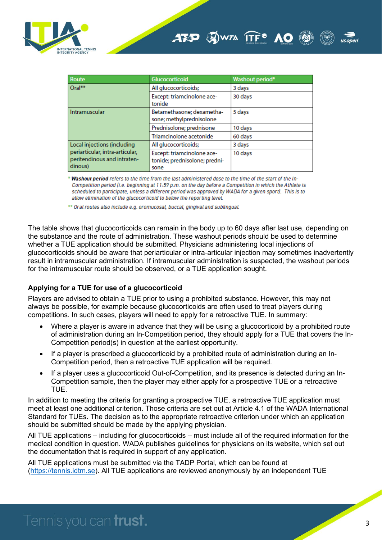

| Route                                                                                                    | <b>Glucocorticoid</b>                                               | <b>Washout period*</b> |
|----------------------------------------------------------------------------------------------------------|---------------------------------------------------------------------|------------------------|
| Oral**                                                                                                   | All glucocorticoids;                                                | 3 days                 |
|                                                                                                          | Except: triamcinolone ace-<br>tonide                                | 30 days                |
| Intramuscular                                                                                            | Betamethasone; dexametha-<br>sone; methylprednisolone               | 5 days                 |
|                                                                                                          | Prednisolone; prednisone                                            | 10 days                |
|                                                                                                          | Triamcinolone acetonide                                             | 60 days                |
| Local injections (including<br>periarticular, intra-articular,<br>peritendinous and intraten-<br>dinous) | All glucocorticoids;                                                | 3 days                 |
|                                                                                                          | Except: triamcinolone ace-<br>tonide; prednisolone; predni-<br>sone | 10 days                |

\* Washout period refers to the time from the last administered dose to the time of the start of the In-Competition period (i.e. beginning at 11:59 p.m. on the day before a Competition in which the Athlete is scheduled to participate, unless a different period was approved by WADA for a given sport). This is to allow elimination of the glucocorticoid to below the reporting level.

\*\* Oral routes also include e.g. oromucosal, buccal, gingival and sublingual.

The table shows that glucocorticoids can remain in the body up to 60 days after last use, depending on the substance and the route of administration. These washout periods should be used to determine whether a TUE application should be submitted. Physicians administering local injections of glucocorticoids should be aware that periarticular or intra-articular injection may sometimes inadvertently result in intramuscular administration. If intramuscular administration is suspected, the washout periods for the intramuscular route should be observed, or a TUE application sought.

#### **Applying for a TUE for use of a glucocorticoid**

Players are advised to obtain a TUE prior to using a prohibited substance. However, this may not always be possible, for example because glucocorticoids are often used to treat players during competitions. In such cases, players will need to apply for a retroactive TUE. In summary:

- Where a player is aware in advance that they will be using a glucocorticoid by a prohibited route of administration during an In-Competition period, they should apply for a TUE that covers the In-Competition period(s) in question at the earliest opportunity.
- If a player is prescribed a glucocorticoid by a prohibited route of administration during an In-Competition period, then a retroactive TUE application will be required.
- If a player uses a glucocorticoid Out-of-Competition, and its presence is detected during an In-Competition sample, then the player may either apply for a prospective TUE or a retroactive TUE.

In addition to meeting the criteria for granting a prospective TUE, a retroactive TUE application must meet at least one additional criterion. Those criteria are set out at Article 4.1 of the WADA International Standard for TUEs. The decision as to the appropriate retroactive criterion under which an application should be submitted should be made by the applying physician.

All TUE applications – including for glucocorticoids – must include all of the required information for the medical condition in question. WADA publishes guidelines for physicians on its website, which set out the documentation that is required in support of any application.

All TUE applications must be submitted via the TADP Portal, which can be found at [\(https://tennis.idtm.se\)](https://tennis.idtm.se/). All TUE applications are reviewed anonymously by an independent TUE

# Tennis you can **trust.**